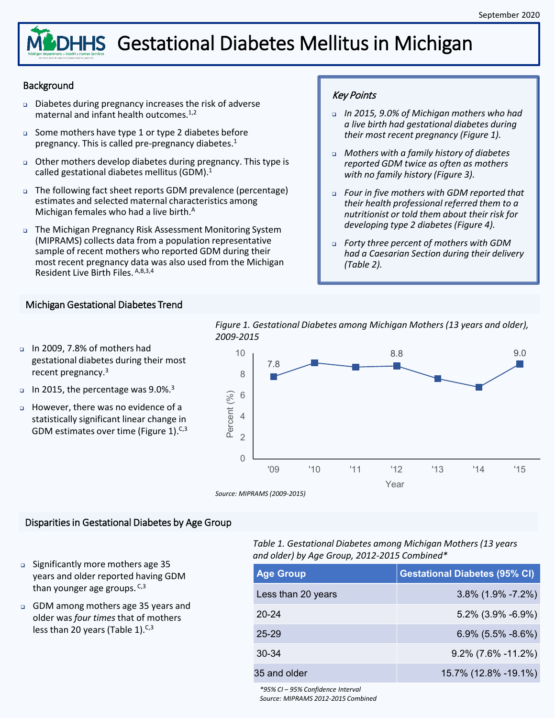# **MCDHHS** Gestational Diabetes Mellitus in Michigan

#### **Background**

- Diabetes during pregnancy increases the risk of adverse maternal and infant health outcomes.1,2
- Some mothers have type 1 or type 2 diabetes before pregnancy. This is called pre-pregnancy diabetes.<sup>1</sup>
- Other mothers develop diabetes during pregnancy. This type is called gestational diabetes mellitus (GDM). $<sup>1</sup>$ </sup>
- The following fact sheet reports GDM prevalence (percentage) estimates and selected maternal characteristics among Michigan females who had a live birth.<sup>A</sup>
- The Michigan Pregnancy Risk Assessment Monitoring System (MIPRAMS) collects data from a population representative sample of recent mothers who reported GDM during their most recent pregnancy data was also used from the Michigan Resident Live Birth Files. A,B,3,4

#### Key Points

- *In 2015, 9.0% of Michigan mothers who had a live birth had gestational diabetes during their most recent pregnancy (Figure 1).*
- *Mothers with a family history of diabetes reported GDM twice as often as mothers with no family history (Figure 3).*
- *Four in five mothers with GDM reported that their health professional referred them to a nutritionist or told them about their risk for developing type 2 diabetes (Figure 4).*
- *Forty three percent of mothers with GDM had a Caesarian Section during their delivery (Table 2).*

#### Michigan Gestational Diabetes Trend

 In 2009, 7.8% of mothers had gestational diabetes during their most recent pregnancy.3



*Figure 1. Gestational Diabetes among Michigan Mothers (13 years and older),* 

- In 2015, the percentage was  $9.0\%$ .<sup>3</sup>
- However, there was no evidence of a statistically significant linear change in GDM estimates over time (Figure 1). $C<sub>5</sub>3$

#### Disparities in Gestational Diabetes by Age Group

- Significantly more mothers age 35 years and older reported having GDM than younger age groups. C,3
- GDM among mothers age 35 years and older was *four times* that of mothers less than 20 years (Table 1).<sup>C,3</sup>

*Table 1. Gestational Diabetes among Michigan Mothers (13 years and older) by Age Group, 2012-2015 Combined\**

| <b>Age Group</b>   | <b>Gestational Diabetes (95% CI)</b> |
|--------------------|--------------------------------------|
| Less than 20 years | $3.8\%$ (1.9% -7.2%)                 |
| $20 - 24$          | $5.2\%$ (3.9% -6.9%)                 |
| 25-29              | $6.9\%$ (5.5% -8.6%)                 |
| $30 - 34$          | $9.2\%$ (7.6% -11.2%)                |
| 35 and older       | 15.7% (12.8% -19.1%)                 |

*\*95% CI – 95% Confidence Interval Source: MIPRAMS 2012-2015 Combined*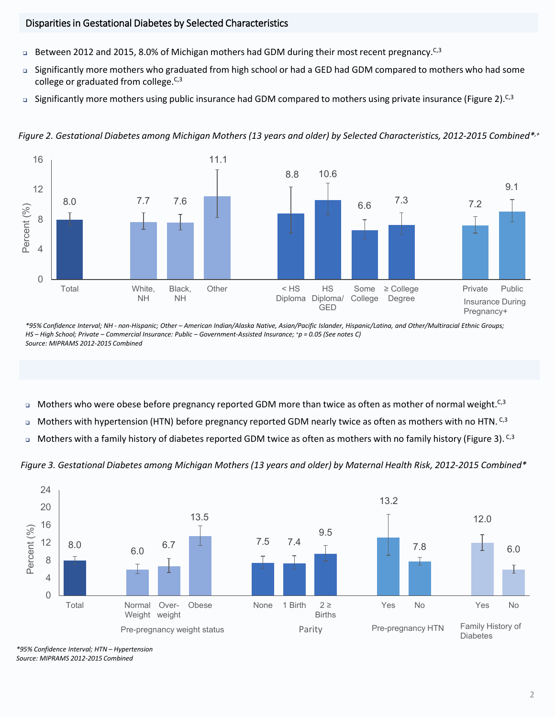#### Disparities in Gestational Diabetes by Selected Characteristics

- Between 2012 and 2015, 8.0% of Michigan mothers had GDM during their most recent pregnancy.<sup>C,3</sup>
- Significantly more mothers who graduated from high school or had a GED had GDM compared to mothers who had some college or graduated from college. $C<sub>5</sub>3$
- Significantly more mothers using public insurance had GDM compared to mothers using private insurance (Figure 2).  $C<sub>3</sub>$



*Figure 2. Gestational Diabetes among Michigan Mothers (13 years and older) by Selected Characteristics, 2012-2015 Combined\*,+*

*\*95% Confidence Interval; NH - non-Hispanic; Other – American Indian/Alaska Native, Asian/Pacific Islander, Hispanic/Latina, and Other/Multiracial Ethnic Groups; HS – High School; Private – Commercial Insurance: Public – Government-Assisted Insurance; +p = 0.05 (See notes C) Source: MIPRAMS 2012-2015 Combined*

- □ Mothers who were obese before pregnancy reported GDM more than twice as often as mother of normal weight.<sup>C,3</sup>
- $\Box$  Mothers with hypertension (HTN) before pregnancy reported GDM nearly twice as often as mothers with no HTN. C,3
- $\Box$  Mothers with a family history of diabetes reported GDM twice as often as mothers with no family history (Figure 3). C,3





*\*95% Confidence Interval; HTN – Hypertension Source: MIPRAMS 2012-2015 Combined*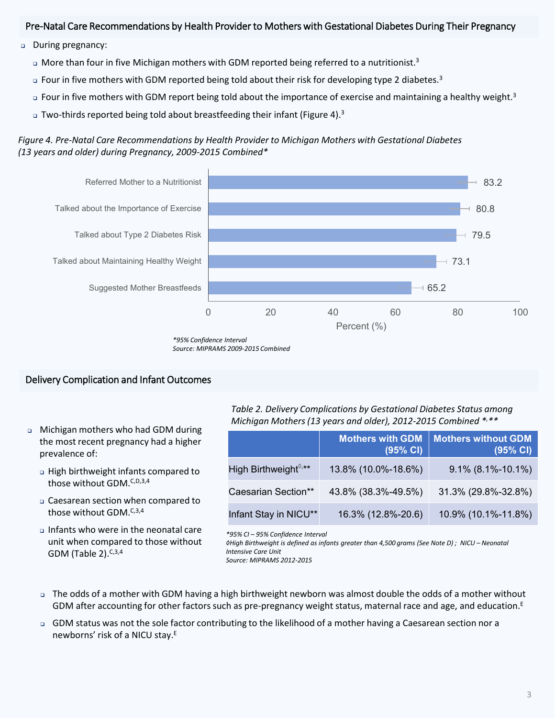#### Pre-Natal Care Recommendations by Health Provider to Mothers with Gestational Diabetes During Their Pregnancy

- During pregnancy:
	- $\Box$  More than four in five Michigan mothers with GDM reported being referred to a nutritionist.<sup>3</sup>
	- $\Box$  Four in five mothers with GDM reported being told about their risk for developing type 2 diabetes.<sup>3</sup>
	- □ Four in five mothers with GDM report being told about the importance of exercise and maintaining a healthy weight.<sup>3</sup>
	- $\alpha$  Two-thirds reported being told about breastfeeding their infant (Figure 4).<sup>3</sup>

*Figure 4. Pre-Natal Care Recommendations by Health Provider to Michigan Mothers with Gestational Diabetes (13 years and older) during Pregnancy, 2009-2015 Combined\**



*<sup>\*95%</sup> Confidence Interval Source: MIPRAMS 2009-2015 Combined*

#### Delivery Complication and Infant Outcomes

- Michigan mothers who had GDM during the most recent pregnancy had a higher prevalence of:
	- High birthweight infants compared to those without GDM.<sup>C,D,3,4</sup>
	- Caesarean section when compared to those without GDM.<sup>C,3,4</sup>
	- Infants who were in the neonatal care unit when compared to those without GDM (Table 2). $C,3,4$

*Table 2. Delivery Complications by Gestational Diabetes Status among Michigan Mothers (13 years and older), 2012-2015 Combined \*, \*\**

|                                 | <b>Mothers with GDM</b><br>(95% CI) | <b>Mothers without GDM</b><br>(95% CI) |
|---------------------------------|-------------------------------------|----------------------------------------|
| High Birthweight $\sqrt[6]{**}$ | 13.8% (10.0%-18.6%)                 | $9.1\%$ (8.1%-10.1%)                   |
| Caesarian Section**             | 43.8% (38.3%-49.5%)                 | 31.3% (29.8%-32.8%)                    |
| Infant Stay in NICU**           | 16.3% (12.8%-20.6)                  | 10.9% (10.1%-11.8%)                    |

*\*95% CI – 95% Confidence Interval*

*◊High Birthweight is defined as infants greater than 4,500 grams (See Note D) ; NICU – Neonatal Intensive Care Unit*

*Source: MIPRAMS 2012-2015*

- The odds of a mother with GDM having a high birthweight newborn was almost double the odds of a mother without GDM after accounting for other factors such as pre-pregnancy weight status, maternal race and age, and education.<sup>E</sup>
- GDM status was not the sole factor contributing to the likelihood of a mother having a Caesarean section nor a newborns' risk of a NICU stay.<sup>E</sup>